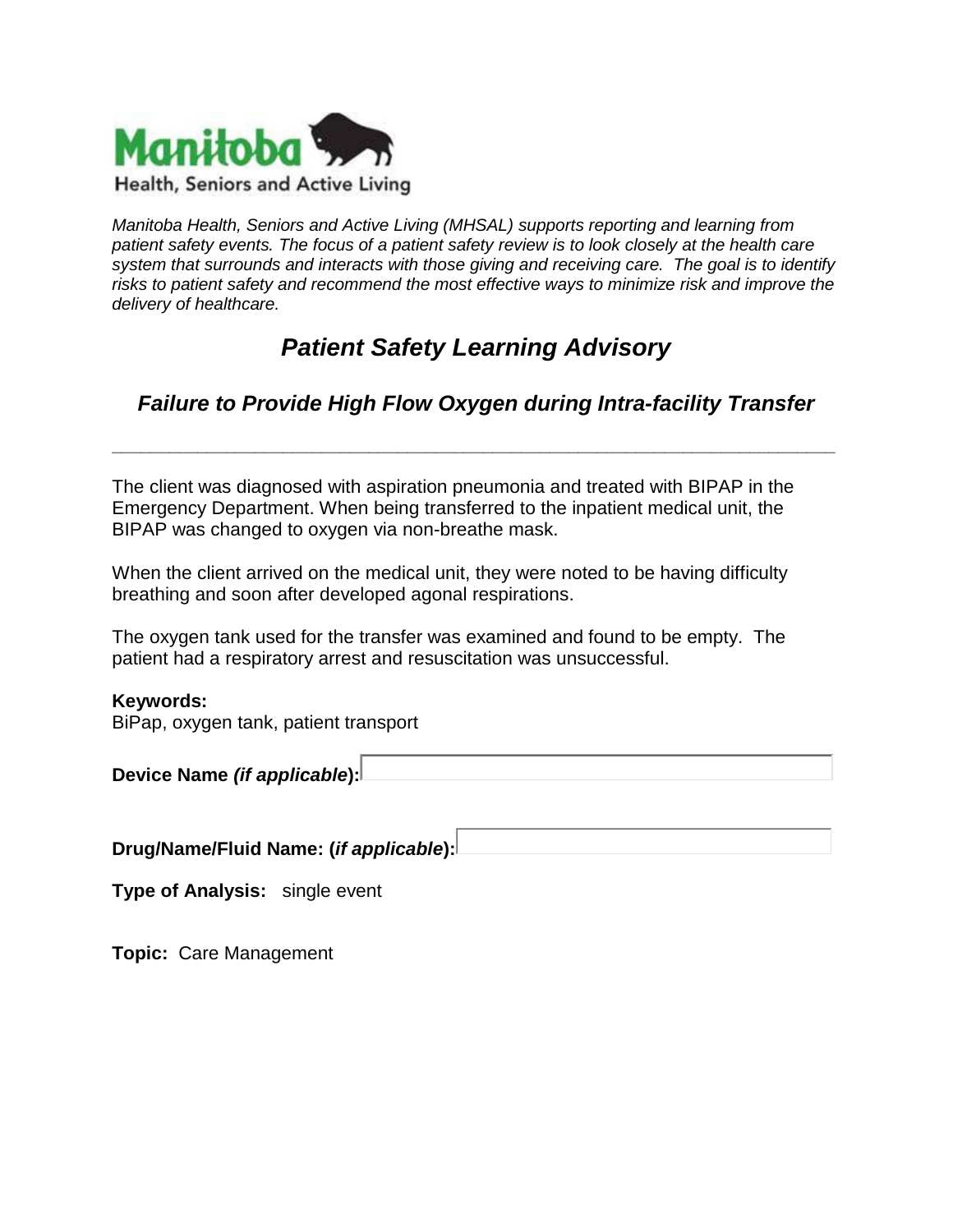

*Manitoba Health, Seniors and Active Living (MHSAL) supports reporting and learning from patient safety events. The focus of a patient safety review is to look closely at the health care system that surrounds and interacts with those giving and receiving care. The goal is to identify risks to patient safety and recommend the most effective ways to minimize risk and improve the delivery of healthcare.* 

# *Patient Safety Learning Advisory*

## *Failure to Provide High Flow Oxygen during Intra-facility Transfer*

**\_\_\_\_\_\_\_\_\_\_\_\_\_\_\_\_\_\_\_\_\_\_\_\_\_\_\_\_\_\_\_\_\_\_\_\_\_\_\_\_\_\_\_\_\_\_\_\_\_\_\_\_\_\_\_\_\_\_\_\_\_\_\_\_\_\_\_\_\_\_\_\_\_\_\_\_**

The client was diagnosed with aspiration pneumonia and treated with BIPAP in the Emergency Department. When being transferred to the inpatient medical unit, the BIPAP was changed to oxygen via non-breathe mask.

When the client arrived on the medical unit, they were noted to be having difficulty breathing and soon after developed agonal respirations.

The oxygen tank used for the transfer was examined and found to be empty. The patient had a respiratory arrest and resuscitation was unsuccessful.

#### **Keywords:**

BiPap, oxygen tank, patient transport

**Device Name** *(if applicable***):**

**Drug/Name/Fluid Name: (***if applicable***):**

**Type of Analysis:** single event

**Topic:** Care Management